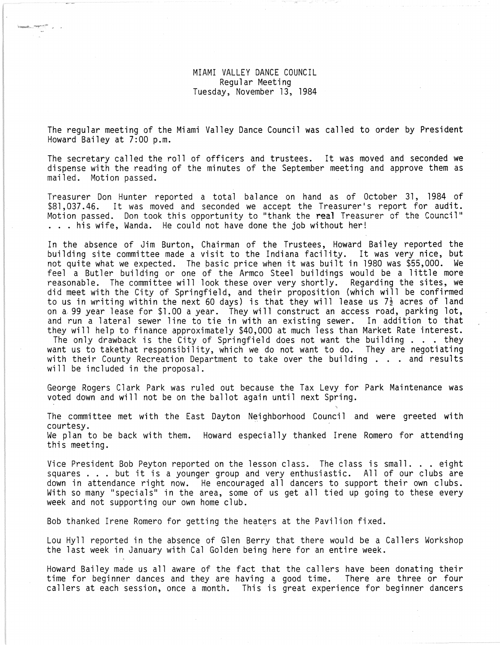MIAMI VALLEY DANCE COUNCIL Regular Meeting Tuesday, November 13, 1984

The regular meeting of the Miami Valley Dance Council was called to order by President Howard Bailey at 7:00 p.m.

The secretary called the roll of officers and trustees. It was moved and seconded we dispense with the reading of the minutes of the September meeting and approve them as mailed. Motion passed.

Treasurer Don Hunter reported a total balance on hand as of October 31, 1984 of \$81,037.46. It was moved and seconded we accept the Treasurer's report for audit. Motion passed. Don took this opportunity to "thank the real Treasurer of the Council"<br>. . . his wife, Wanda. He could not have done the job without her!

In the absence of Jim Burton, Chairman of the Trustees, Howard Bailey reported the building site committee made a visit to the Indiana facility. It was very nice, but not quite what we expected. The basic price when it was built in 1980 was \$55,000. We feel a Butler building or one of the Armco Steel buildings would be a little more reasonable. The committee will look these over very shortly. Regarding the sites, we did meet with the City of Springfield, and their proposition (which will be confirmed to us in writing within the next 60 days) is that they will lease us 7 $\frac{1}{2}$  acres of land on a, 99 year lease for \$1.00 a year. They will construct an access road, parking lot, and run a lateral sewer line to tie in with an existing sewer. In addition to that they will help to finance approximately \$40,000 at much less than Market Rate interest. The only drawback is the City of Springfield does not want the building  $\ldots$  . they want us to takethat responsibility, which we do not want to do. They are negotiating with their County Recreation Department to take over the building . . . and results will be included in the proposal.

George Rogers Clark Park was ruled out because the Tax Levy for Park Maintenance was voted down and will not be on the ballot again until next Spring.

The committee met with the East Dayton Neighborhood Council and were greeted with courtesy. We plan to be back with them. Howard especially thanked Irene Romero for attending this meeting.

Vice President Bob Peyton reported on the lesson class. The class is small ... eight Vice President Bob Peyton reported on the lesson class. The class is small. . . eight<br>squares ... but it is a younger group and very enthusiastic. All of our clubs are squares . . . but it is a younger group and very enthusiastic. All of our clubs are<br>down in attendance right now. He encouraged all dancers to support their own clubs. With so many "specials" in the area, some of us get all tied up going to these every week and not supporting our own home club.

Bob thanked Irene Romero for getting the heaters at the Pavilion fixed.

Lou Hyll reported in the absence of Glen Berry that there would be a Callers Workshop the last week in January with Cal Golden being here for an entire week.

Howard Bailey made us all aware of the fact that the callers have been donating their time for beginner dances and they are having a good time. There are three or four callers at each session, once a month. This is great experience for beginner dancers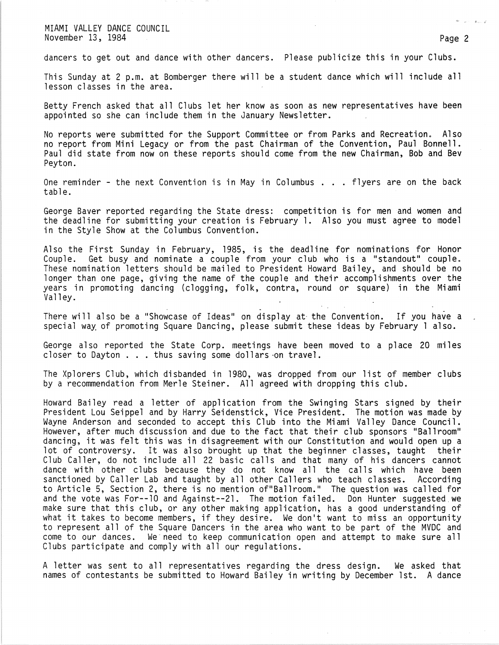MIAMI VALLEY DANCE COUNCIL November 13, 1984 Page 2

dancers to get out and dance with other dancers. Please publicize this in your Clubs.

This Sunday at 2 p.m. at Bomberger there will be a student dance which will include all lesson classes in the area.

Betty French asked that all Clubs let her know as soon as new representatives have been appointed so she can include them in the January Newsletter.

No reports were submitted for the Support Committee or from Parks and Recreation. Also no report from Mini Legacy or from the past Chairman of the Convention, Paul Bonnell. Paul did state from now on these reports should come from the new Chairman, Bob and Bev Peyton.

One reminder - the next Convention is in May in Columbus  $\ldots$  flyers are on the back table.

George Baver reported regarding the State dress: competition is for men and women and the deadline for submitting your creation is February 1. Also you must agree to model in the Style Show at the Columbus Convention.

Also the First Sunday in February, 1985, is the deadline for nominations for Honor<br>Couple. Get busy and nominate a couple from your club who is a "standout" couple. Get busy and nominate a couple from your club who is a "standout" couple. These nomination letters should be mailed to President Howard Bailey, and should be no longer than one page, giving the name of the couple and their accomplishments over the years in promoting dancing (clogging, folk, contra, round or square) in the Miami Valley.

There will also be a "Showcase of Ideas" on display at the Convention. If you have a special way of promoting Square Dancing, please submit these ideas by February 1 also.

George also reported the State Corp. meetings have been moved to a place 20 miles<br>closer to Dayton . . . thus saving some dollars on travel.

The Xplorers Club, which disbanded in 1980, was dropped from our list of member clubs by a recommendation from Merle Steiner. All agreed with dropping this club.

Howard Bailey read a letter of application from the Swinging Stars signed by their President Lou Seippel and by Harry Seidenstick, Vice President. The motion was made by Wayne Anderson and seconded to accept this Club into the Miami Valley Dance Council. However, after much discussion and due to the fact that their club sponsors "Ballroom" dancing, it was felt this was in disagreement with our Constitution and would open up a lot of controversy. It was also brought up that the beginner classes, taught their Club Caller, do not include all 22 basic calls and that many of his dancers cannot dance with other clubs because they do not know all the calls which have been sanctioned by Caller Lab and taught by all other Callers who teach classes. According to Article 5, Section 2, there is no mention of"Ballroom." The question was called for and the vote was For--10 and Against--21. The motion failed. Don Hunter suggested we make sure that this club, or any other making application, has a good understanding of what it takes to become members, if they desire. We don't want to miss an opportunity to represent all of the Square Dancers in the area who want to be part of the MVDC and<br>come to our dances. We need to keep communication open and attempt to make sure all We need to keep communication open and attempt to make sure all Clubs participate and comply with all our regulations.

A letter was sent to all representatives regarding the dress design. We asked that names of contestants be submitted to Howard Bailey in writing by December 1st. A dance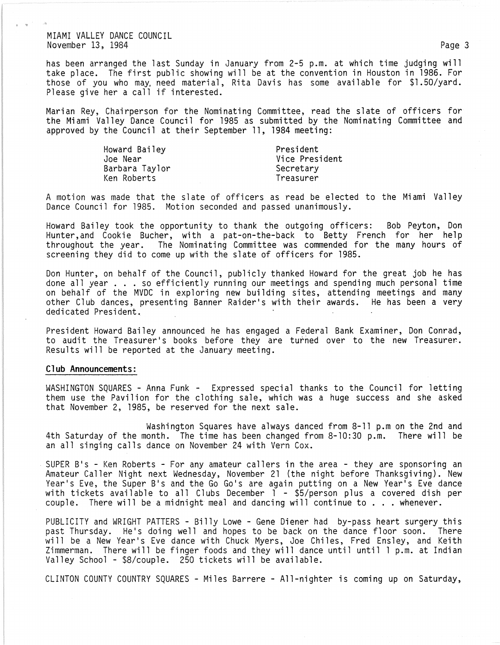MIAMI VALLEY DANCE COUNCIL November 13, 1984 Page 3

. "

has been arranged the last Sunday in January from 2-5 p.m. at which time judging will take place. The first public showing will be at the convention in Houston in 1986. For those of you who may, need material, Rita Davis has some available for \$1.50/yard. Please give her a call if interested.

Marian Rey, Chairperson for the Nominating Committee, read the slate of officers for the Miami Valley Dance Council for 1985 as submitted by the Nominating Committee and approved by the Council at their September 11, 1984 meeting:

| Howard Bailey  | President      |
|----------------|----------------|
| Joe Near       | Vice President |
| Barbara Taylor | Secretary      |
| Ken Roberts    | Treasurer      |
|                |                |

A motion was made that the slate of officers as read be elected to the Miami Valley Dance Council for 1985. Motion seconded and passed unanimously.

Howard Bailey took the opportunity to thank the outgoing officers: Bob Peyton, Don Hunter,and Cookie Bucher, with a pat-on-the-back to Betty French for her help throughout the year. The Nominating Committee was commended for the many hours of screening they did to come up with the slate of officers for 1985.

Don Hunter, on behalf of the Council, publicly thanked Howard for the great job he has done all year  $\ldots$  so efficiently running our meetings and spending much personal time on behalf of the MVDC in exploring new building sites, attending meetings and many other Club dances, presenting Banner Raider's with their awards. He has been a very dedicated President.

President Howard Bailey announced he has engaged a Federal Bank Examiner, Don Conrad, to audit the Treasurer's books before they are turned over to the new Treasurer.. Results will be reported at the January meeting.

## **Club Announcements:**

WASHINGTON SQUARES - Anna Funk - Expressed special thanks to the Council for letting<br>them use the Pavilion for the clothing sale, which was a huge success and she asked that November 2, 1985, be reserved for the next sale.

Washington Squares have always danced from 8-11 p.m on the 2nd and 4th Saturday of the month. The time has been changed from 8-10:30 p.m. There will be an all singing calls dance on November 24 with Vern Cox.

SUPER B's - Ken Roberts - For any amateur callers in the area - they are sponsoring an Amateur Caller Night next Wednesday, November 21 (the night before Thanksgiving). New Year's Eve, the Super B's and the Go Go's are again putting on a New Year's Eve dance with tickets available to all Clubs December 1 - \$5/person plus a covered dish per<br>couple. There will be a midnight meal and dancing will continue to ... whenever.

PUBLICITY and WRIGHT PATTERS - Billy Lowe - Gene Diener had by-pass heart surgery this past Thursday. He's doing well and hopes to be back on the dance floor soon. There will be a New Year's Eve dance with Chuck Myers, Joe Chiles, Fred Ensley, and Keith Zimmerman. There will be finger foods and they will dance until until 1 p.m. at Indian Valley School - \$8/couple. 250 tickets will be available.

CLINTON COUNTY COUNTRY SQUARES - Miles Barrere - Al1-nighter is coming up on Saturday,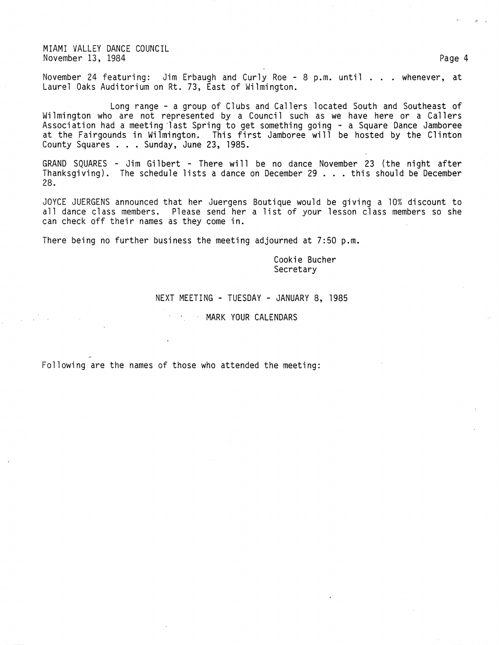MIAMI VALLEY DANCE COUNCIL November 13, 1984 Page 4

November 24 featuring: Jim Erbaugh and Curly Roe - 8 p.m. until . . . whenever, at Laurel Oaks Auditorium on Rt. 73, East of Wilmington.

Long range - a group of Clubs and Callers located South and Southeast of Wilmington who are not represented by a Council such as we have here or a Callers Association had a meeting last Spring to get something going - a Square Dance Jamboree at the Fairgounds in Wilmington. This first Jamboree will be hosted by the Clinton County Squares ... Sunday, June 23, 1985.

GRAND SQUARES - Jim Gilbert - There will be no dance November 23 (the night after Thanksgiving). The schedule lists a dance on December 29 ... this should be December 28.

JOYCE JUERGENS announced that her Juergens Boutique would be giving a 10% discount to all dance class members. Please send her a list of your lesson class members so she can check off their names as they come in.

There being no further business the meeting adjourned at 7:50 p.m.

Cookie Bucher **Secretary** 

## NEXT MEETING - TUESDAY - JANUARY 8, 1985

**MARK YOUR CALENDARS** 

Following are the names of those who attended the meeting:

'I •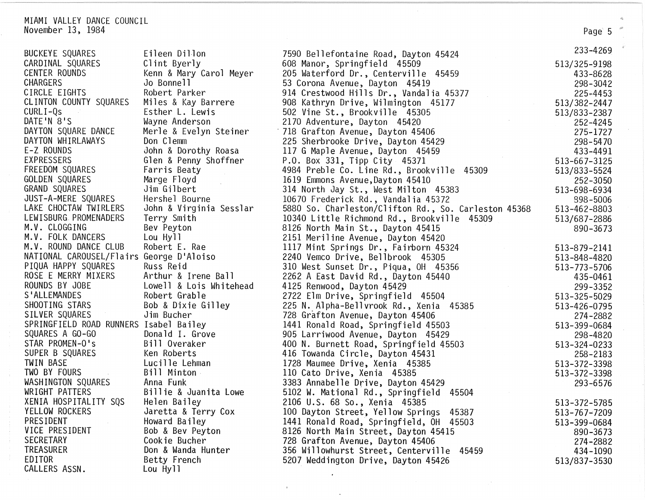| MIAMI VALLEY DANCE COUNCIL                 |                           |                                                                   |                          |
|--------------------------------------------|---------------------------|-------------------------------------------------------------------|--------------------------|
| November 13, 1984                          |                           |                                                                   | Page 5                   |
| <b>BUCKEYE SQUARES</b>                     | Eileen Dillon             | 7590 Bellefontaine Road, Dayton 45424                             | 233-4269                 |
| CARDINAL SQUARES                           | Clint Byerly              | 608 Manor, Springfield 45509                                      | 513/325-9198             |
| CENTER ROUNDS                              | Kenn & Mary Carol Meyer   | 205 Waterford Dr., Centerville 45459                              | 433-8628                 |
| <b>CHARGERS</b>                            | Jo Bonnell                | 53 Corona Avenue, Dayton 45419                                    | 298-3042                 |
| CIRCLE EIGHTS                              | Robert Parker             | 914 Crestwood Hills Dr., Vandalia 45377                           | 225-4453                 |
| CLINTON COUNTY SQUARES                     | Miles & Kay Barrere       | 908 Kathryn Drive, Wilmington 45177                               | 513/382-2447             |
| $CURLI - Qs$                               | Esther L. Lewis           | 502 Vine St., Brookville 45305                                    | 513/833-2387             |
| DATE'N 8'S                                 | Wayne Anderson            | 2170 Adventure, Dayton 45420                                      | 252-4245                 |
| DAYTON SQUARE DANCE                        | Merle & Evelyn Steiner    | 718 Grafton Avenue, Dayton 45406                                  | 275-1727                 |
| DAYTON WHIRLAWAYS                          | Don Clemm                 | 225 Sherbrooke Drive, Dayton 45429                                | 298-5470                 |
| E-Z ROUNDS                                 | John & Dorothy Roasa      | 117 G Maple Avenue, Dayton 45459                                  | 433-4491                 |
| <b>EXPRESSERS</b>                          | Glen & Penny Shoffner     | P.O. Box 331, Tipp City 45371                                     | 513-667-3125             |
| FREEDOM SQUARES                            | Farris Beaty              | 4984 Preble Co. Line Rd., Brookville 45309                        | 513/833-5524             |
| GOLDEN SQUARES                             | Marge Floyd               | 1619 Emmons Avenue, Dayton 45410                                  | 252-3050                 |
| GRAND SQUARES                              | Jim Gilbert               | 314 North Jay St., West Milton 45383                              | 513-698-6934             |
| JUST-A-MERE SQUARES                        | Hershel Bourne            | 10670 Frederick Rd., Vandalia 45372                               | 898-5006                 |
| LAKE CHOCTAW TWIRLERS                      | John & Virginia Sesslar   | 5880 So. Charleston/Clifton Rd., So. Carleston 45368              | 513-462-8803             |
| LEWISBURG PROMENADERS                      | Terry Smith               | 10340 Little Richmond Rd., Brookville 45309                       | 513/687-2886             |
| M.V. CLOGGING                              | Bev Peyton                | 8126 North Main St., Dayton 45415                                 | 890-3673                 |
| M.V. FOLK DANCERS<br>M.V. ROUND DANCE CLUB | Lou Hyll<br>Robert E. Rae | 2151 Meriline Avenue, Dayton 45420                                |                          |
| NATIONAL CAROUSEL/Flairs George D'Aloiso   |                           | 1117 Mint Springs Dr., Fairborn 45324                             | 513-879-2141             |
| PIQUA HAPPY SQUARES                        | Russ Reid                 | 2240 Vemco Drive, Bellbrook 45305                                 | 513-848-4820             |
| ROSE E MERRY MIXERS                        | Arthur & Irene Ball       | 310 West Sunset Dr., Piqua, OH 45356                              | 513-773-5706             |
| ROUNDS BY JOBE                             | Lowell & Lois Whitehead   | 2262 A East David Rd., Dayton 45440<br>4125 Renwood, Dayton 45429 | 435-0461                 |
| S'ALLEMANDES                               | Robert Grable             | 2722 Elm Drive, Springfield 45504                                 | 299-3352<br>513-325-5029 |
| SHOOTING STARS                             | Bob & Dixie Gilley        | 225 N. Alpha-Bellvrook Rd., Xenia 45385                           | 513-426-0795             |
| SILVER SQUARES                             | Jim Bucher                | 728 Grafton Avenue, Dayton 45406                                  | 274-2882                 |
| SPRINGFIELD ROAD RUNNERS Isabel Bailey     |                           | 1441 Ronald Road, Springfield 45503                               | 513-399-0684             |
| SQUARES A GO-GO                            | Donald I. Grove           | 905 Larriwood Avenue, Dayton 45429                                | 298-4820                 |
| STAR PROMEN-0's                            | Bill Overaker             | 400 N. Burnett Road, Springfield 45503                            | 513-324-0233             |
| SUPER B SQUARES                            | Ken Roberts               | 416 Towanda Circle, Dayton 45431                                  | 258-2183                 |
| TWIN BASE                                  | Lucille Lehman            | 1728 Maumee Drive, Xenia 45385                                    | 513-372-3398             |
| TWO BY FOURS                               | Bill Minton               | 110 Cato Drive, Xenia 45385                                       | 513-372-3398             |
| WASHINGTON SQUARES                         | Anna Funk                 | 3383 Annabelle Drive, Dayton 45429                                | 293-6576                 |
| WRIGHT PATTERS                             | Billie & Juanita Lowe     | 5102 W. Mational Rd., Springfield<br>45504                        |                          |
| XENIA HOSPITALITY SQS                      | Helen Bailey              | 2106 U.S. 68 So., Xenia 45385                                     | 513-372-5785             |
| YELLOW ROCKERS                             | Jaretta & Terry Cox       | 100 Dayton Street, Yellow Springs<br>45387                        | 513-767-7209             |
| PRESIDENT                                  | Howard Bailey             | 1441 Ronald Road, Springfield, OH<br>45503                        | 513-399-0684             |
| VICE PRESIDENT                             | Bob & Bev Peyton          | 8126 North Main Street, Dayton 45415                              | 890-3673                 |
| <b>SECRETARY</b>                           | Cookie Bucher             | 728 Grafton Avenue, Dayton 45406                                  | 274-2882                 |
| TREASURER                                  | Don & Wanda Hunter        | 356 Willowhurst Street, Centerville<br>45459                      | 434-1090                 |
| EDITOR                                     | Betty French              | 5207 Weddington Drive, Dayton 45426                               | 513/837-3530             |
| CALLERS ASSN.                              | Lou Hyll                  |                                                                   |                          |

 $\cdot$